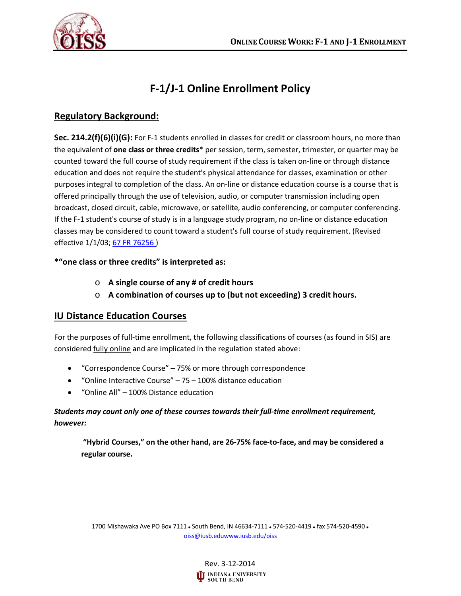

# **F-1/J-1 Online Enrollment Policy**

## **Regulatory Background:**

**Sec. 214.2(f)(6)(i)(G):** For F-1 students enrolled in classes for credit or classroom hours, no more than the equivalent of **one class or three credits**\* per session, term, semester, trimester, or quarter may be counted toward the full course of study requirement if the class is taken on-line or through distance education and does not require the student's physical attendance for classes, examination or other purposes integral to completion of the class. An on-line or distance education course is a course that is offered principally through the use of television, audio, or computer transmission including open broadcast, closed circuit, cable, microwave, or satellite, audio conferencing, or computer conferencing. If the F-1 student's course of study is in a language study program, no on-line or distance education classes may be considered to count toward a student's full course of study requirement. (Revised effective 1/1/03; 67 FR 76256)

#### **\*"one class or three credits" is interpreted as:**

- o **A single course of any # of credit hours**
- o **A combination of courses up to (but not exceeding) 3 credit hours.**

#### **IU Distance Education Courses**

For the purposes of full-time enrollment, the following classifications of courses (as found in SIS) are considered fully online and are implicated in the regulation stated above:

- "Correspondence Course" 75% or more through correspondence
- "Online Interactive Course" 75 100% distance education
- "Online All" 100% Distance education

#### *Students may count only one of these courses towards their full-time enrollment requirement, however:*

**"Hybrid Courses," on the other hand, are 26-75% face-to-face, and may be considered a regular course.** 

1700 Mishawaka Ave PO Box 7111 . South Bend, IN 46634-7111 . 574-520-4419 . fax 574-520-4590 . [oiss@iusb.eduwww.iusb.edu/oiss](mailto:oiss@iusb.edu)